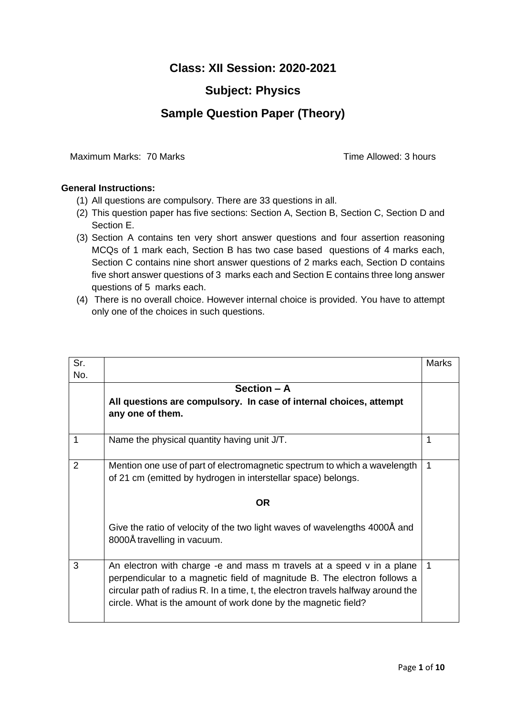## **Class: XII Session: 2020-2021**

## **Subject: Physics**

## **Sample Question Paper (Theory)**

Maximum Marks: 70 Marks Time Allowed: 3 hours

## **General Instructions:**

- (1) All questions are compulsory. There are 33 questions in all.
- (2) This question paper has five sections: Section A, Section B, Section C, Section D and Section E.
- (3) Section A contains ten very short answer questions and four assertion reasoning MCQs of 1 mark each, Section B has two case based questions of 4 marks each, Section C contains nine short answer questions of 2 marks each, Section D contains five short answer questions of 3 marks each and Section E contains three long answer questions of 5 marks each.
- (4) There is no overall choice. However internal choice is provided. You have to attempt only one of the choices in such questions.

| Sr. |                                                                                                                                                                                                                                                                                                         | Marks |
|-----|---------------------------------------------------------------------------------------------------------------------------------------------------------------------------------------------------------------------------------------------------------------------------------------------------------|-------|
| No. |                                                                                                                                                                                                                                                                                                         |       |
|     | Section - A                                                                                                                                                                                                                                                                                             |       |
|     | All questions are compulsory. In case of internal choices, attempt                                                                                                                                                                                                                                      |       |
|     | any one of them.                                                                                                                                                                                                                                                                                        |       |
|     |                                                                                                                                                                                                                                                                                                         |       |
| 1   | Name the physical quantity having unit J/T.                                                                                                                                                                                                                                                             |       |
| 2   | Mention one use of part of electromagnetic spectrum to which a wavelength                                                                                                                                                                                                                               |       |
|     | of 21 cm (emitted by hydrogen in interstellar space) belongs.                                                                                                                                                                                                                                           |       |
|     | <b>OR</b>                                                                                                                                                                                                                                                                                               |       |
|     | Give the ratio of velocity of the two light waves of wavelengths 4000Å and<br>8000Å travelling in vacuum.                                                                                                                                                                                               |       |
| 3   | An electron with charge -e and mass m travels at a speed v in a plane<br>perpendicular to a magnetic field of magnitude B. The electron follows a<br>circular path of radius R. In a time, t, the electron travels halfway around the<br>circle. What is the amount of work done by the magnetic field? |       |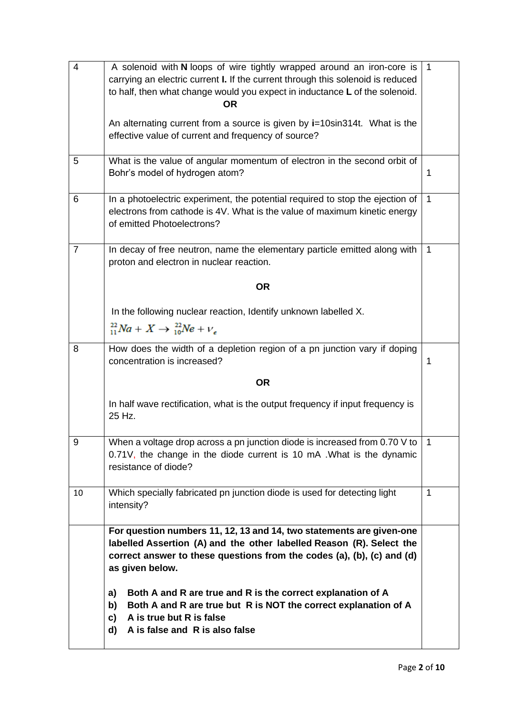| $\overline{4}$ | A solenoid with N loops of wire tightly wrapped around an iron-core is<br>carrying an electric current I. If the current through this solenoid is reduced                                                                                 | 1            |
|----------------|-------------------------------------------------------------------------------------------------------------------------------------------------------------------------------------------------------------------------------------------|--------------|
|                | to half, then what change would you expect in inductance L of the solenoid.<br><b>OR</b>                                                                                                                                                  |              |
|                | An alternating current from a source is given by i=10sin314t. What is the<br>effective value of current and frequency of source?                                                                                                          |              |
| 5              | What is the value of angular momentum of electron in the second orbit of<br>Bohr's model of hydrogen atom?                                                                                                                                | 1            |
| 6              | In a photoelectric experiment, the potential required to stop the ejection of<br>electrons from cathode is 4V. What is the value of maximum kinetic energy<br>of emitted Photoelectrons?                                                  | $\mathbf{1}$ |
| $\overline{7}$ | In decay of free neutron, name the elementary particle emitted along with<br>proton and electron in nuclear reaction.                                                                                                                     | $\mathbf{1}$ |
|                | <b>OR</b>                                                                                                                                                                                                                                 |              |
|                | In the following nuclear reaction, Identify unknown labelled X.                                                                                                                                                                           |              |
|                | $^{22}_{11}Na + X \rightarrow ^{22}_{10}Ne + V_c$                                                                                                                                                                                         |              |
| 8              | How does the width of a depletion region of a pn junction vary if doping<br>concentration is increased?                                                                                                                                   | 1            |
|                | <b>OR</b>                                                                                                                                                                                                                                 |              |
|                | In half wave rectification, what is the output frequency if input frequency is<br>25 Hz.                                                                                                                                                  |              |
| 9              | When a voltage drop across a pn junction diode is increased from 0.70 V to<br>0.71V, the change in the diode current is 10 mA. What is the dynamic<br>resistance of diode?                                                                |              |
| 10             | Which specially fabricated pn junction diode is used for detecting light<br>intensity?                                                                                                                                                    | $\mathbf 1$  |
|                | For question numbers 11, 12, 13 and 14, two statements are given-one<br>labelled Assertion (A) and the other labelled Reason (R). Select the<br>correct answer to these questions from the codes (a), (b), (c) and (d)<br>as given below. |              |
|                | a)<br>Both A and R are true and R is the correct explanation of A<br>b)<br>Both A and R are true but R is NOT the correct explanation of A<br>c)<br>A is true but R is false<br>d)<br>A is false and R is also false                      |              |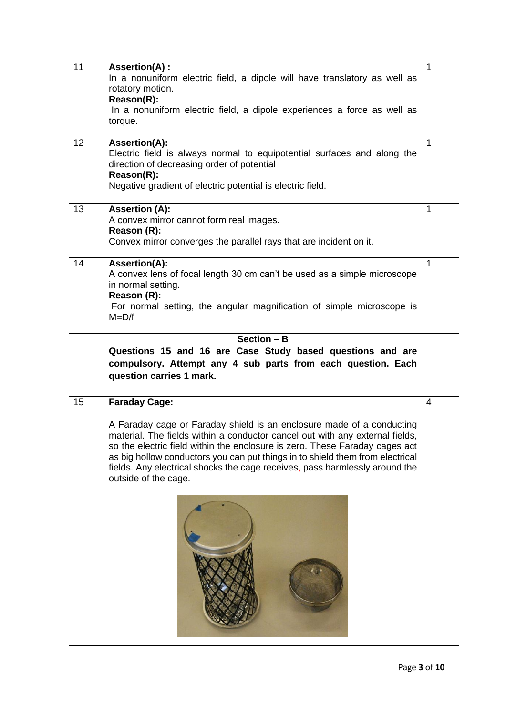| 11 | Assertion(A) :<br>In a nonuniform electric field, a dipole will have translatory as well as<br>rotatory motion.<br>Reason(R):<br>In a nonuniform electric field, a dipole experiences a force as well as<br>torque.                                                                                                                                                                                                                                  | $\mathbf{1}$ |
|----|------------------------------------------------------------------------------------------------------------------------------------------------------------------------------------------------------------------------------------------------------------------------------------------------------------------------------------------------------------------------------------------------------------------------------------------------------|--------------|
| 12 | Assertion(A):<br>Electric field is always normal to equipotential surfaces and along the<br>direction of decreasing order of potential<br>Reason(R):<br>Negative gradient of electric potential is electric field.                                                                                                                                                                                                                                   | $\mathbf 1$  |
| 13 | <b>Assertion (A):</b><br>A convex mirror cannot form real images.<br>Reason (R):<br>Convex mirror converges the parallel rays that are incident on it.                                                                                                                                                                                                                                                                                               | 1            |
| 14 | Assertion(A):<br>A convex lens of focal length 30 cm can't be used as a simple microscope<br>in normal setting.<br>Reason (R):<br>For normal setting, the angular magnification of simple microscope is<br>$M = D/f$                                                                                                                                                                                                                                 | $\mathbf{1}$ |
|    | Section $-$ B<br>Questions 15 and 16 are Case Study based questions and are<br>compulsory. Attempt any 4 sub parts from each question. Each<br>question carries 1 mark.                                                                                                                                                                                                                                                                              |              |
| 15 | <b>Faraday Cage:</b><br>A Faraday cage or Faraday shield is an enclosure made of a conducting<br>material. The fields within a conductor cancel out with any external fields,<br>so the electric field within the enclosure is zero. These Faraday cages act<br>as big hollow conductors you can put things in to shield them from electrical<br>fields. Any electrical shocks the cage receives, pass harmlessly around the<br>outside of the cage. | 4            |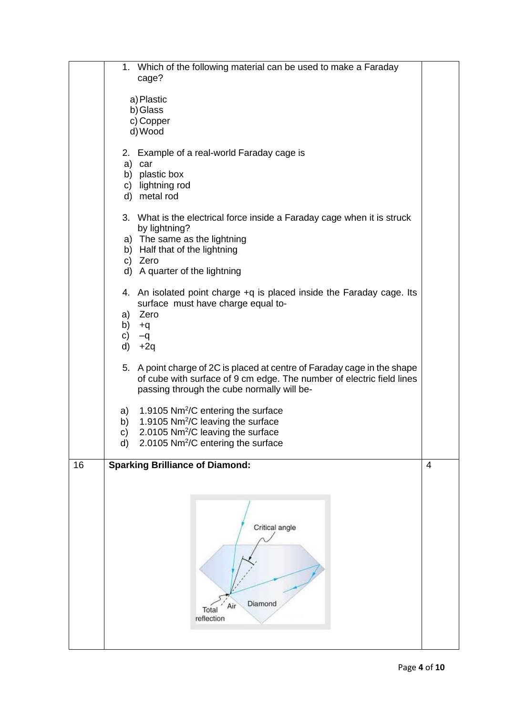|    | 1. Which of the following material can be used to make a Faraday<br>cage?                                                                                                                                                  |                |
|----|----------------------------------------------------------------------------------------------------------------------------------------------------------------------------------------------------------------------------|----------------|
|    | a) Plastic<br>b) Glass<br>c) Copper<br>d) Wood                                                                                                                                                                             |                |
|    | 2. Example of a real-world Faraday cage is<br>a) car<br>b) plastic box<br>c) lightning rod<br>d) metal rod                                                                                                                 |                |
|    | 3. What is the electrical force inside a Faraday cage when it is struck<br>by lightning?<br>a) The same as the lightning<br>b) Half that of the lightning<br>c) Zero<br>d) A quarter of the lightning                      |                |
|    | 4. An isolated point charge +q is placed inside the Faraday cage. Its<br>surface must have charge equal to-<br>a) Zero<br>b) +q<br>C)<br>$-q$<br>d)<br>$+2q$                                                               |                |
|    | 5. A point charge of 2C is placed at centre of Faraday cage in the shape<br>of cube with surface of 9 cm edge. The number of electric field lines<br>passing through the cube normally will be-                            |                |
|    | 1.9105 Nm <sup>2</sup> /C entering the surface<br>a)<br>1.9105 Nm <sup>2</sup> /C leaving the surface<br>b)<br>2.0105 Nm <sup>2</sup> /C leaving the surface<br>c)<br>d)<br>2.0105 Nm <sup>2</sup> /C entering the surface |                |
| 16 | <b>Sparking Brilliance of Diamond:</b><br>Critical angle<br>Diamond<br>Air<br>Total<br>reflection                                                                                                                          | $\overline{4}$ |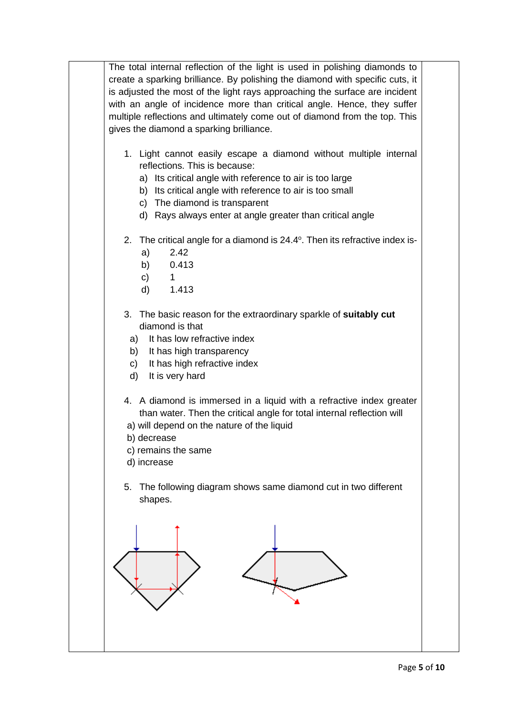The total internal reflection of the light is used in polishing diamonds to create a sparking brilliance. By polishing the diamond with specific cuts, it is adjusted the most of the light rays approaching the surface are incident with an angle of incidence more than critical angle. Hence, they suffer multiple reflections and ultimately come out of diamond from the top. This gives the diamond a sparking brilliance.

- 1. Light cannot easily escape a diamond without multiple internal reflections. This is because:
	- a) Its critical angle with reference to air is too large
	- b) Its critical angle with reference to air is too small
	- c) The diamond is transparent
	- d) Rays always enter at angle greater than critical angle
- 2. The critical angle for a diamond is 24.4°. Then its refractive index is
	- a) 2.42
	- b) 0.413
	- c) 1
	- d) 1.413
- 3. The basic reason for the extraordinary sparkle of **suitably cut** diamond is that
	- a) It has low refractive index
	- b) It has high transparency
	- c) It has high refractive index
	- d) It is very hard
- 4. A diamond is immersed in a liquid with a refractive index greater than water. Then the critical angle for total internal reflection will
- a) will depend on the nature of the liquid
- b) decrease
- c) remains the same
- d) increase
- 5. The following diagram shows same diamond cut in two different shapes.

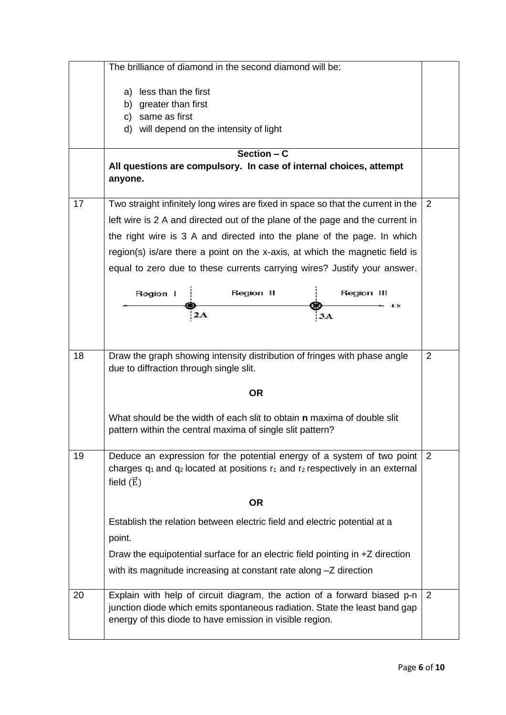|    | The brilliance of diamond in the second diamond will be:                                                                                                           |                |
|----|--------------------------------------------------------------------------------------------------------------------------------------------------------------------|----------------|
|    | a) less than the first                                                                                                                                             |                |
|    | b) greater than first                                                                                                                                              |                |
|    | same as first<br>C)                                                                                                                                                |                |
|    | d) will depend on the intensity of light                                                                                                                           |                |
|    | Section $- C$                                                                                                                                                      |                |
|    | All questions are compulsory. In case of internal choices, attempt                                                                                                 |                |
|    | anyone.                                                                                                                                                            |                |
| 17 | Two straight infinitely long wires are fixed in space so that the current in the                                                                                   | 2              |
|    | left wire is 2 A and directed out of the plane of the page and the current in                                                                                      |                |
|    | the right wire is 3 A and directed into the plane of the page. In which                                                                                            |                |
|    | region(s) is/are there a point on the x-axis, at which the magnetic field is                                                                                       |                |
|    | equal to zero due to these currents carrying wires? Justify your answer.                                                                                           |                |
|    | Region II<br>Region III<br>Region 1                                                                                                                                |                |
|    | + x                                                                                                                                                                |                |
|    | 2A<br>3A                                                                                                                                                           |                |
|    |                                                                                                                                                                    |                |
| 18 | Draw the graph showing intensity distribution of fringes with phase angle                                                                                          | $\overline{2}$ |
|    | due to diffraction through single slit.                                                                                                                            |                |
|    |                                                                                                                                                                    |                |
|    | <b>OR</b>                                                                                                                                                          |                |
|    | What should be the width of each slit to obtain <b>n</b> maxima of double slit                                                                                     |                |
|    | pattern within the central maxima of single slit pattern?                                                                                                          |                |
|    |                                                                                                                                                                    |                |
| 19 | Deduce an expression for the potential energy of a system of two point<br>charges $q_1$ and $q_2$ located at positions $r_1$ and $r_2$ respectively in an external | 2              |
|    | field $(\vec{E})$                                                                                                                                                  |                |
|    |                                                                                                                                                                    |                |
|    | <b>OR</b>                                                                                                                                                          |                |
|    | Establish the relation between electric field and electric potential at a                                                                                          |                |
|    | point.                                                                                                                                                             |                |
|    | Draw the equipotential surface for an electric field pointing in +Z direction                                                                                      |                |
|    | with its magnitude increasing at constant rate along -Z direction                                                                                                  |                |
|    |                                                                                                                                                                    |                |
| 20 | Explain with help of circuit diagram, the action of a forward biased p-n                                                                                           | 2              |
|    | junction diode which emits spontaneous radiation. State the least band gap<br>energy of this diode to have emission in visible region.                             |                |
|    |                                                                                                                                                                    |                |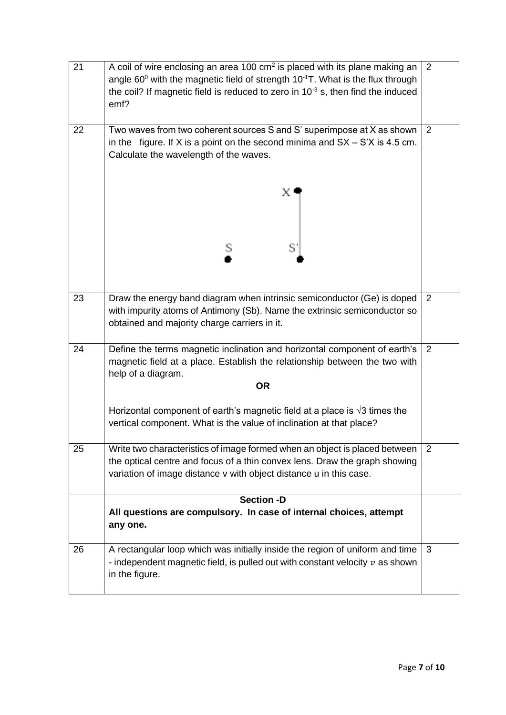| 21 | A coil of wire enclosing an area 100 cm <sup>2</sup> is placed with its plane making an<br>angle $60^{\circ}$ with the magnetic field of strength $10^{-1}$ T. What is the flux through<br>the coil? If magnetic field is reduced to zero in $10^{-3}$ s, then find the induced<br>emf? | 2 |
|----|-----------------------------------------------------------------------------------------------------------------------------------------------------------------------------------------------------------------------------------------------------------------------------------------|---|
| 22 | Two waves from two coherent sources S and S' superimpose at X as shown<br>in the figure. If X is a point on the second minima and $SX - S'X$ is 4.5 cm.<br>Calculate the wavelength of the waves.                                                                                       | 2 |
|    | $\mathbb{X}^+$                                                                                                                                                                                                                                                                          |   |
|    | S<br>S                                                                                                                                                                                                                                                                                  |   |
| 23 | Draw the energy band diagram when intrinsic semiconductor (Ge) is doped<br>with impurity atoms of Antimony (Sb). Name the extrinsic semiconductor so<br>obtained and majority charge carriers in it.                                                                                    | 2 |
| 24 | Define the terms magnetic inclination and horizontal component of earth's<br>magnetic field at a place. Establish the relationship between the two with<br>help of a diagram.                                                                                                           | 2 |
|    | <b>OR</b>                                                                                                                                                                                                                                                                               |   |
|    | Horizontal component of earth's magnetic field at a place is $\sqrt{3}$ times the<br>vertical component. What is the value of inclination at that place?                                                                                                                                |   |
| 25 | Write two characteristics of image formed when an object is placed between<br>the optical centre and focus of a thin convex lens. Draw the graph showing<br>variation of image distance v with object distance u in this case.                                                          | 2 |
|    | <b>Section -D</b>                                                                                                                                                                                                                                                                       |   |
|    | All questions are compulsory. In case of internal choices, attempt<br>any one.                                                                                                                                                                                                          |   |
| 26 | A rectangular loop which was initially inside the region of uniform and time<br>- independent magnetic field, is pulled out with constant velocity $v$ as shown<br>in the figure.                                                                                                       | 3 |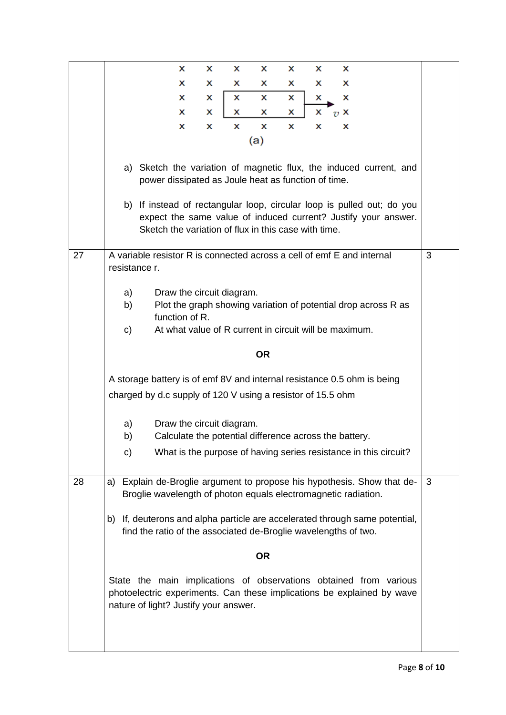|    | x<br>x<br>x<br>х<br>x<br>x<br>x                                                                                                                                                                                                                                       |   |
|----|-----------------------------------------------------------------------------------------------------------------------------------------------------------------------------------------------------------------------------------------------------------------------|---|
|    | x<br>x<br>x<br>x<br>х<br>x<br>x                                                                                                                                                                                                                                       |   |
|    | x<br>x<br>x<br>x<br>x<br>x<br>x                                                                                                                                                                                                                                       |   |
|    | x<br>x<br>x<br>x<br>х<br>x<br>$\overline{v}$ X                                                                                                                                                                                                                        |   |
|    | x<br>x<br>x<br>x<br>x<br>x<br>x                                                                                                                                                                                                                                       |   |
|    | (a)                                                                                                                                                                                                                                                                   |   |
|    | a) Sketch the variation of magnetic flux, the induced current, and<br>power dissipated as Joule heat as function of time.<br>b) If instead of rectangular loop, circular loop is pulled out; do you<br>expect the same value of induced current? Justify your answer. |   |
|    | Sketch the variation of flux in this case with time.                                                                                                                                                                                                                  |   |
| 27 | A variable resistor R is connected across a cell of emf E and internal<br>resistance r.                                                                                                                                                                               | 3 |
|    | a)<br>Draw the circuit diagram.<br>Plot the graph showing variation of potential drop across R as<br>b)<br>function of R.<br>At what value of R current in circuit will be maximum.<br>c)                                                                             |   |
|    | <b>OR</b>                                                                                                                                                                                                                                                             |   |
|    | A storage battery is of emf 8V and internal resistance 0.5 ohm is being                                                                                                                                                                                               |   |
|    | charged by d.c supply of 120 V using a resistor of 15.5 ohm                                                                                                                                                                                                           |   |
|    | Draw the circuit diagram.<br>a)<br>Calculate the potential difference across the battery.<br>b)                                                                                                                                                                       |   |
|    | What is the purpose of having series resistance in this circuit?<br>C)                                                                                                                                                                                                |   |
| 28 | Explain de-Broglie argument to propose his hypothesis. Show that de-<br>a)<br>Broglie wavelength of photon equals electromagnetic radiation.                                                                                                                          | 3 |
|    | If, deuterons and alpha particle are accelerated through same potential,<br>b)<br>find the ratio of the associated de-Broglie wavelengths of two.                                                                                                                     |   |
|    | OR                                                                                                                                                                                                                                                                    |   |
|    | State the main implications of observations obtained from various<br>photoelectric experiments. Can these implications be explained by wave<br>nature of light? Justify your answer.                                                                                  |   |
|    |                                                                                                                                                                                                                                                                       |   |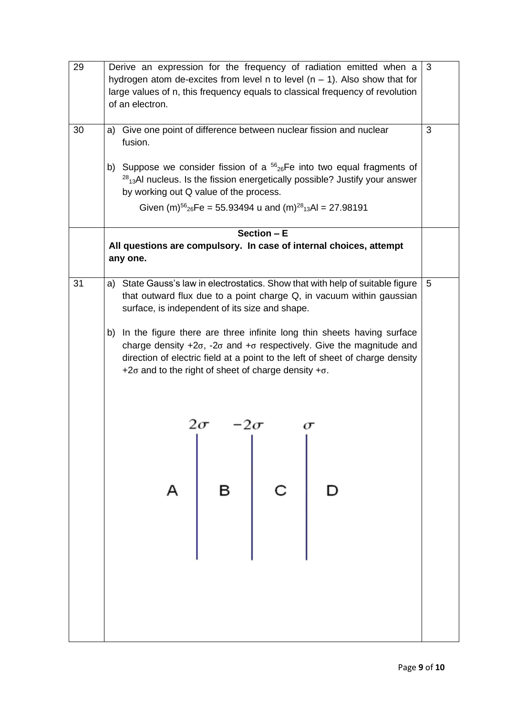| 29 | Derive an expression for the frequency of radiation emitted when a<br>hydrogen atom de-excites from level n to level $(n - 1)$ . Also show that for<br>large values of n, this frequency equals to classical frequency of revolution<br>of an electron.                                                                                                                                                                                                                | 3 |
|----|------------------------------------------------------------------------------------------------------------------------------------------------------------------------------------------------------------------------------------------------------------------------------------------------------------------------------------------------------------------------------------------------------------------------------------------------------------------------|---|
| 30 | Give one point of difference between nuclear fission and nuclear<br>a)<br>fusion.                                                                                                                                                                                                                                                                                                                                                                                      | 3 |
|    | b) Suppose we consider fission of a ${}^{56}{}_{26}Fe$ into two equal fragments of<br>$28_{13}$ AI nucleus. Is the fission energetically possible? Justify your answer<br>by working out Q value of the process.                                                                                                                                                                                                                                                       |   |
|    | Given $(m)$ <sup>56</sup> <sub>26</sub> Fe = 55.93494 u and $(m)$ <sup>28</sup> <sub>13</sub> Al = 27.98191                                                                                                                                                                                                                                                                                                                                                            |   |
|    | Section - E                                                                                                                                                                                                                                                                                                                                                                                                                                                            |   |
|    | All questions are compulsory. In case of internal choices, attempt<br>any one.                                                                                                                                                                                                                                                                                                                                                                                         |   |
| 31 | State Gauss's law in electrostatics. Show that with help of suitable figure<br>a)<br>that outward flux due to a point charge Q, in vacuum within gaussian<br>surface, is independent of its size and shape.<br>b) In the figure there are three infinite long thin sheets having surface<br>charge density $+2\sigma$ , $-2\sigma$ and $+\sigma$ respectively. Give the magnitude and<br>direction of electric field at a point to the left of sheet of charge density | 5 |
|    | +2 $\sigma$ and to the right of sheet of charge density + $\sigma$ .<br>$\begin{array}{ c c } \hline c&b\\ \hline \end{array}$<br>$\overline{B}$<br>A                                                                                                                                                                                                                                                                                                                  |   |